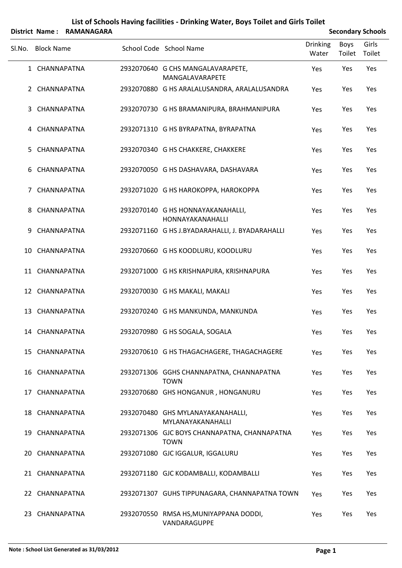|        |                   | District Name: RAMANAGARA |                                                             |                          |                | <b>Secondary Schools</b> |
|--------|-------------------|---------------------------|-------------------------------------------------------------|--------------------------|----------------|--------------------------|
| Sl.No. | <b>Block Name</b> |                           | School Code School Name                                     | <b>Drinking</b><br>Water | Boys<br>Toilet | Girls<br>Toilet          |
|        | 1 CHANNAPATNA     |                           | 2932070640 G CHS MANGALAVARAPETE,<br>MANGALAVARAPETE        | Yes                      | Yes            | Yes                      |
|        | 2 CHANNAPATNA     |                           | 2932070880 G HS ARALALUSANDRA, ARALALUSANDRA                | Yes                      | Yes            | Yes                      |
| 3      | CHANNAPATNA       |                           | 2932070730 G HS BRAMANIPURA, BRAHMANIPURA                   | Yes                      | Yes            | Yes                      |
|        | 4 CHANNAPATNA     |                           | 2932071310 G HS BYRAPATNA, BYRAPATNA                        | Yes                      | Yes            | Yes                      |
| 5.     | CHANNAPATNA       |                           | 2932070340 G HS CHAKKERE, CHAKKERE                          | Yes                      | Yes            | Yes                      |
|        | 6 CHANNAPATNA     |                           | 2932070050 G HS DASHAVARA, DASHAVARA                        | Yes                      | Yes            | Yes                      |
|        | 7 CHANNAPATNA     |                           | 2932071020 G HS HAROKOPPA, HAROKOPPA                        | Yes                      | Yes            | Yes                      |
|        | 8 CHANNAPATNA     |                           | 2932070140 G HS HONNAYAKANAHALLI,<br>HONNAYAKANAHALLI       | Yes                      | Yes            | Yes                      |
| 9      | CHANNAPATNA       |                           | 2932071160 G HS J.BYADARAHALLI, J. BYADARAHALLI             | Yes                      | Yes            | Yes                      |
| 10     | CHANNAPATNA       |                           | 2932070660 G HS KOODLURU, KOODLURU                          | Yes                      | Yes            | Yes                      |
|        | 11 CHANNAPATNA    |                           | 2932071000 G HS KRISHNAPURA, KRISHNAPURA                    | Yes                      | Yes            | Yes                      |
|        | 12 CHANNAPATNA    |                           | 2932070030 G HS MAKALI, MAKALI                              | Yes                      | Yes            | Yes                      |
|        | 13 CHANNAPATNA    |                           | 2932070240 G HS MANKUNDA, MANKUNDA                          | Yes                      | Yes            | Yes                      |
|        | 14 CHANNAPATNA    |                           | 2932070980 G HS SOGALA, SOGALA                              | Yes                      | Yes            | Yes                      |
|        | 15 CHANNAPATNA    |                           | 2932070610 G HS THAGACHAGERE, THAGACHAGERE                  | Yes                      | Yes            | Yes                      |
|        | 16 CHANNAPATNA    |                           | 2932071306 GGHS CHANNAPATNA, CHANNAPATNA<br><b>TOWN</b>     | Yes                      | Yes            | Yes                      |
|        | 17 CHANNAPATNA    |                           | 2932070680 GHS HONGANUR, HONGANURU                          | Yes                      | Yes            | Yes                      |
|        | 18 CHANNAPATNA    |                           | 2932070480 GHS MYLANAYAKANAHALLI,<br>MYLANAYAKANAHALLI      | Yes                      | Yes            | Yes                      |
|        | 19 CHANNAPATNA    |                           | 2932071306 GJC BOYS CHANNAPATNA, CHANNAPATNA<br><b>TOWN</b> | Yes                      | Yes            | Yes                      |
|        | 20 CHANNAPATNA    |                           | 2932071080 GJC IGGALUR, IGGALURU                            | Yes                      | Yes            | Yes                      |
|        | 21 CHANNAPATNA    |                           | 2932071180 GJC KODAMBALLI, KODAMBALLI                       | Yes                      | Yes            | Yes                      |
|        | 22 CHANNAPATNA    |                           | 2932071307 GUHS TIPPUNAGARA, CHANNAPATNA TOWN               | Yes                      | Yes            | Yes                      |
|        | 23 CHANNAPATNA    |                           | 2932070550 RMSA HS, MUNIYAPPANA DODDI,<br>VANDARAGUPPE      | Yes                      | Yes            | Yes                      |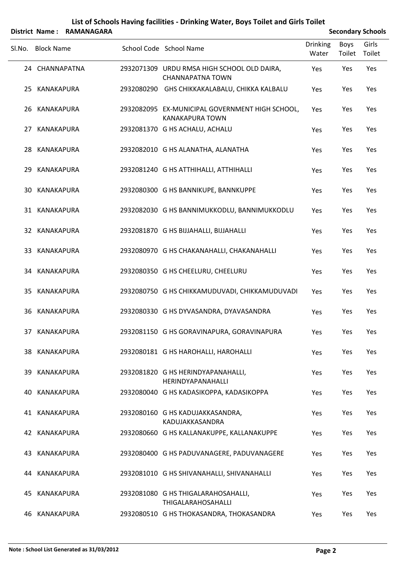|        |                   | District Name: RAMANAGARA |                                                                           | <b>Secondary Schools</b> |                |                 |
|--------|-------------------|---------------------------|---------------------------------------------------------------------------|--------------------------|----------------|-----------------|
| SI.No. | <b>Block Name</b> |                           | School Code School Name                                                   | <b>Drinking</b><br>Water | Boys<br>Toilet | Girls<br>Toilet |
|        | 24 CHANNAPATNA    |                           | 2932071309 URDU RMSA HIGH SCHOOL OLD DAIRA,<br><b>CHANNAPATNA TOWN</b>    | Yes                      | Yes            | Yes             |
|        | 25 KANAKAPURA     |                           | 2932080290 GHS CHIKKAKALABALU, CHIKKA KALBALU                             | Yes                      | Yes            | Yes             |
|        | 26 KANAKAPURA     |                           | 2932082095 EX-MUNICIPAL GOVERNMENT HIGH SCHOOL,<br><b>KANAKAPURA TOWN</b> | Yes                      | Yes            | Yes             |
|        | 27 KANAKAPURA     |                           | 2932081370 G HS ACHALU, ACHALU                                            | Yes                      | Yes            | Yes             |
|        | 28 KANAKAPURA     |                           | 2932082010 G HS ALANATHA, ALANATHA                                        | Yes                      | Yes            | Yes             |
| 29.    | KANAKAPURA        |                           | 2932081240 G HS ATTHIHALLI, ATTHIHALLI                                    | Yes                      | Yes            | Yes             |
|        | 30 KANAKAPURA     |                           | 2932080300 G HS BANNIKUPE, BANNKUPPE                                      | Yes                      | Yes            | Yes             |
|        | 31 KANAKAPURA     |                           | 2932082030 G HS BANNIMUKKODLU, BANNIMUKKODLU                              | Yes                      | Yes            | Yes             |
|        | 32 KANAKAPURA     |                           | 2932081870 G HS BIJJAHALLI, BIJJAHALLI                                    | Yes                      | Yes            | Yes             |
|        | 33 KANAKAPURA     |                           | 2932080970 G HS CHAKANAHALLI, CHAKANAHALLI                                | Yes                      | Yes            | Yes             |
|        | 34 KANAKAPURA     |                           | 2932080350 G HS CHEELURU, CHEELURU                                        | Yes                      | Yes            | Yes             |
| 35     | KANAKAPURA        |                           | 2932080750 G HS CHIKKAMUDUVADI, CHIKKAMUDUVADI                            | Yes                      | Yes            | Yes             |
|        | 36 KANAKAPURA     |                           | 2932080330 G HS DYVASANDRA, DYAVASANDRA                                   | Yes                      | Yes            | Yes             |
|        | 37 KANAKAPURA     |                           | 2932081150 G HS GORAVINAPURA, GORAVINAPURA                                | Yes                      | Yes            | Yes             |
|        | 38 KANAKAPURA     |                           | 2932080181 G HS HAROHALLI, HAROHALLI                                      | Yes                      | Yes            | Yes             |
|        | 39 KANAKAPURA     |                           | 2932081820 G HS HERINDYAPANAHALLI,<br>HERINDYAPANAHALLI                   | Yes                      | Yes            | Yes             |
|        | 40 KANAKAPURA     |                           | 2932080040 G HS KADASIKOPPA, KADASIKOPPA                                  | Yes                      | Yes            | Yes             |
|        | 41 KANAKAPURA     |                           | 2932080160 G HS KADUJAKKASANDRA,<br>KADUJAKKASANDRA                       | Yes                      | Yes            | Yes             |
|        | 42 KANAKAPURA     |                           | 2932080660 G HS KALLANAKUPPE, KALLANAKUPPE                                | Yes                      | Yes            | Yes             |
|        | 43 KANAKAPURA     |                           | 2932080400 G HS PADUVANAGERE, PADUVANAGERE                                | Yes                      | Yes            | Yes             |
|        | 44 KANAKAPURA     |                           | 2932081010 G HS SHIVANAHALLI, SHIVANAHALLI                                | Yes                      | Yes            | Yes             |
| 45.    | KANAKAPURA        |                           | 2932081080 G HS THIGALARAHOSAHALLI,<br>THIGALARAHOSAHALLI                 | Yes                      | Yes            | Yes             |
|        | 46 KANAKAPURA     |                           | 2932080510 G HS THOKASANDRA, THOKASANDRA                                  | Yes                      | Yes            | Yes             |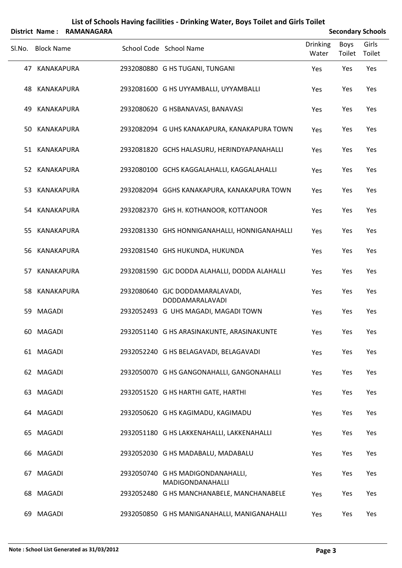|        | District Name:<br><b>RAMANAGARA</b> |  |  |                                                           | <b>Secondary Schools</b> |                       |                 |
|--------|-------------------------------------|--|--|-----------------------------------------------------------|--------------------------|-----------------------|-----------------|
| Sl.No. | <b>Block Name</b>                   |  |  | School Code School Name                                   | <b>Drinking</b><br>Water | <b>Boys</b><br>Toilet | Girls<br>Toilet |
|        | 47 KANAKAPURA                       |  |  | 2932080880 G HS TUGANI, TUNGANI                           | Yes                      | Yes                   | Yes             |
|        | 48 KANAKAPURA                       |  |  | 2932081600 G HS UYYAMBALLI, UYYAMBALLI                    | Yes                      | Yes                   | Yes             |
| 49.    | KANAKAPURA                          |  |  | 2932080620 G HSBANAVASI, BANAVASI                         | Yes                      | Yes                   | Yes             |
|        | 50 KANAKAPURA                       |  |  | 2932082094 G UHS KANAKAPURA, KANAKAPURA TOWN              | Yes                      | Yes                   | Yes             |
|        | 51 KANAKAPURA                       |  |  | 2932081820 GCHS HALASURU, HERINDYAPANAHALLI               | Yes                      | Yes                   | Yes             |
|        | 52 KANAKAPURA                       |  |  | 2932080100 GCHS KAGGALAHALLI, KAGGALAHALLI                | Yes                      | Yes                   | Yes             |
| 53     | KANAKAPURA                          |  |  | 2932082094 GGHS KANAKAPURA, KANAKAPURA TOWN               | Yes                      | Yes                   | Yes             |
|        | 54 KANAKAPURA                       |  |  | 2932082370 GHS H. KOTHANOOR, KOTTANOOR                    | Yes                      | Yes                   | Yes             |
| 55.    | KANAKAPURA                          |  |  | 2932081330 GHS HONNIGANAHALLI, HONNIGANAHALLI             | Yes                      | Yes                   | Yes             |
| 56     | KANAKAPURA                          |  |  | 2932081540 GHS HUKUNDA, HUKUNDA                           | Yes                      | Yes                   | Yes             |
| 57.    | KANAKAPURA                          |  |  | 2932081590 GJC DODDA ALAHALLI, DODDA ALAHALLI             | Yes                      | Yes                   | Yes             |
|        | 58 KANAKAPURA                       |  |  | 2932080640 GJC DODDAMARALAVADI,<br><b>DODDAMARALAVADI</b> | Yes                      | Yes                   | Yes             |
| 59.    | <b>MAGADI</b>                       |  |  | 2932052493 G UHS MAGADI, MAGADI TOWN                      | Yes                      | Yes                   | Yes             |
|        | 60 MAGADI                           |  |  | 2932051140 G HS ARASINAKUNTE, ARASINAKUNTE                | Yes                      | Yes                   | Yes             |
|        | 61 MAGADI                           |  |  | 2932052240 G HS BELAGAVADI, BELAGAVADI                    | Yes                      | Yes                   | Yes             |
|        | 62 MAGADI                           |  |  | 2932050070 G HS GANGONAHALLI, GANGONAHALLI                | Yes                      | Yes                   | Yes             |
|        | 63 MAGADI                           |  |  | 2932051520 G HS HARTHI GATE, HARTHI                       | Yes                      | Yes                   | Yes             |
|        | 64 MAGADI                           |  |  | 2932050620 G HS KAGIMADU, KAGIMADU                        | Yes                      | Yes                   | Yes             |
|        | 65 MAGADI                           |  |  | 2932051180 G HS LAKKENAHALLI, LAKKENAHALLI                | Yes                      | Yes                   | Yes             |
|        | 66 MAGADI                           |  |  | 2932052030 G HS MADABALU, MADABALU                        | Yes                      | Yes                   | Yes             |
|        | 67 MAGADI                           |  |  | 2932050740 G HS MADIGONDANAHALLI,<br>MADIGONDANAHALLI     | Yes                      | Yes                   | Yes             |
|        | 68 MAGADI                           |  |  | 2932052480 G HS MANCHANABELE, MANCHANABELE                | Yes                      | Yes                   | Yes             |
|        | 69 MAGADI                           |  |  | 2932050850 G HS MANIGANAHALLI, MANIGANAHALLI              | Yes                      | Yes                   | Yes             |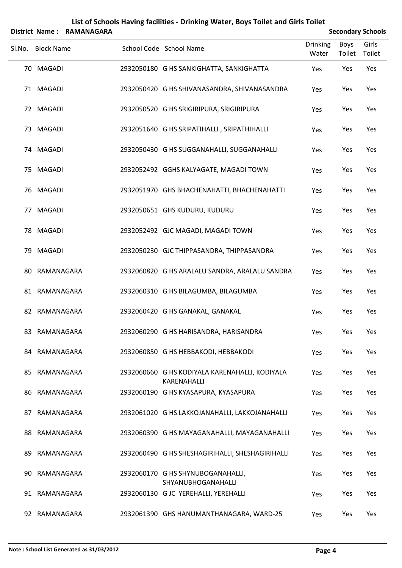|        |                   | District Name: RAMANAGARA |                                                               |                          |                | <b>Secondary Schools</b> |
|--------|-------------------|---------------------------|---------------------------------------------------------------|--------------------------|----------------|--------------------------|
| SI.No. | <b>Block Name</b> |                           | School Code School Name                                       | <b>Drinking</b><br>Water | Boys<br>Toilet | Girls<br>Toilet          |
|        | 70 MAGADI         |                           | 2932050180 G HS SANKIGHATTA, SANKIGHATTA                      | Yes                      | Yes            | Yes                      |
|        | 71 MAGADI         |                           | 2932050420 G HS SHIVANASANDRA, SHIVANASANDRA                  | Yes                      | Yes            | Yes                      |
|        | 72 MAGADI         |                           | 2932050520 G HS SRIGIRIPURA, SRIGIRIPURA                      | Yes                      | Yes            | Yes                      |
|        | 73 MAGADI         |                           | 2932051640 G HS SRIPATIHALLI, SRIPATHIHALLI                   | Yes                      | Yes            | Yes                      |
|        | 74 MAGADI         |                           | 2932050430 G HS SUGGANAHALLI, SUGGANAHALLI                    | Yes                      | Yes            | Yes                      |
|        | 75 MAGADI         |                           | 2932052492 GGHS KALYAGATE, MAGADI TOWN                        | Yes                      | Yes            | Yes                      |
|        | 76 MAGADI         |                           | 2932051970 GHS BHACHENAHATTI, BHACHENAHATTI                   | Yes                      | Yes            | Yes                      |
|        | 77 MAGADI         |                           | 2932050651 GHS KUDURU, KUDURU                                 | Yes                      | Yes            | Yes                      |
|        | 78 MAGADI         |                           | 2932052492 GJC MAGADI, MAGADI TOWN                            | Yes                      | Yes            | Yes                      |
|        | 79 MAGADI         |                           | 2932050230 GJC THIPPASANDRA, THIPPASANDRA                     | Yes                      | Yes            | Yes                      |
|        | 80 RAMANAGARA     |                           | 2932060820 G HS ARALALU SANDRA, ARALALU SANDRA                | Yes                      | Yes            | Yes                      |
|        | 81 RAMANAGARA     |                           | 2932060310 G HS BILAGUMBA, BILAGUMBA                          | Yes                      | Yes            | Yes                      |
|        | 82 RAMANAGARA     |                           | 2932060420 G HS GANAKAL, GANAKAL                              | Yes                      | Yes            | Yes                      |
|        | 83 RAMANAGARA     |                           | 2932060290 G HS HARISANDRA, HARISANDRA                        | Yes                      | Yes            | Yes                      |
|        | 84 RAMANAGARA     |                           | 2932060850 G HS HEBBAKODI, HEBBAKODI                          | Yes                      | Yes            | Yes                      |
|        | 85 RAMANAGARA     |                           | 2932060660 G HS KODIYALA KARENAHALLI, KODIYALA<br>KARENAHALLI | Yes                      | Yes            | Yes                      |
|        | 86 RAMANAGARA     |                           | 2932060190 G HS KYASAPURA, KYASAPURA                          | Yes                      | Yes            | Yes                      |
|        | 87 RAMANAGARA     |                           | 2932061020 G HS LAKKOJANAHALLI, LAKKOJANAHALLI                | Yes                      | Yes            | Yes                      |
|        | 88 RAMANAGARA     |                           | 2932060390 G HS MAYAGANAHALLI, MAYAGANAHALLI                  | Yes                      | Yes            | Yes                      |
| 89.    | RAMANAGARA        |                           | 2932060490 G HS SHESHAGIRIHALLI, SHESHAGIRIHALLI              | Yes                      | Yes            | Yes                      |
|        | 90 RAMANAGARA     |                           | 2932060170 G HS SHYNUBOGANAHALLI,<br>SHYANUBHOGANAHALLI       | Yes                      | Yes            | Yes                      |
|        | 91 RAMANAGARA     |                           | 2932060130 GJC YEREHALLI, YEREHALLI                           | Yes                      | Yes            | Yes                      |
|        | 92 RAMANAGARA     |                           | 2932061390 GHS HANUMANTHANAGARA, WARD-25                      | Yes                      | Yes            | Yes                      |